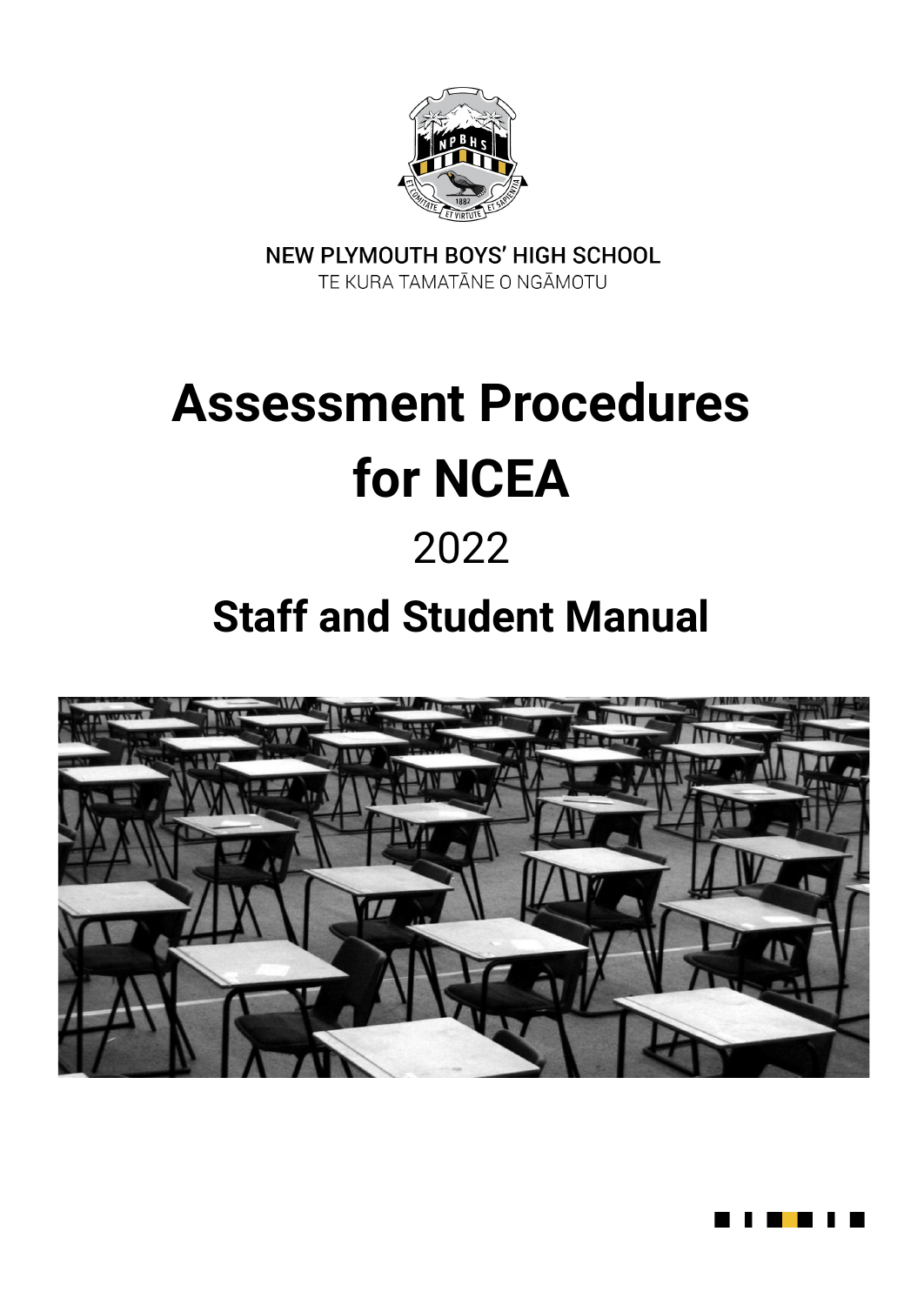

NEW PLYMOUTH BOYS' HIGH SCHOOL TE KURA TAMATĀNE O NGĀMOTU

# **Assessment Procedures for NCEA**

# 2022

# **Staff and Student Manual**



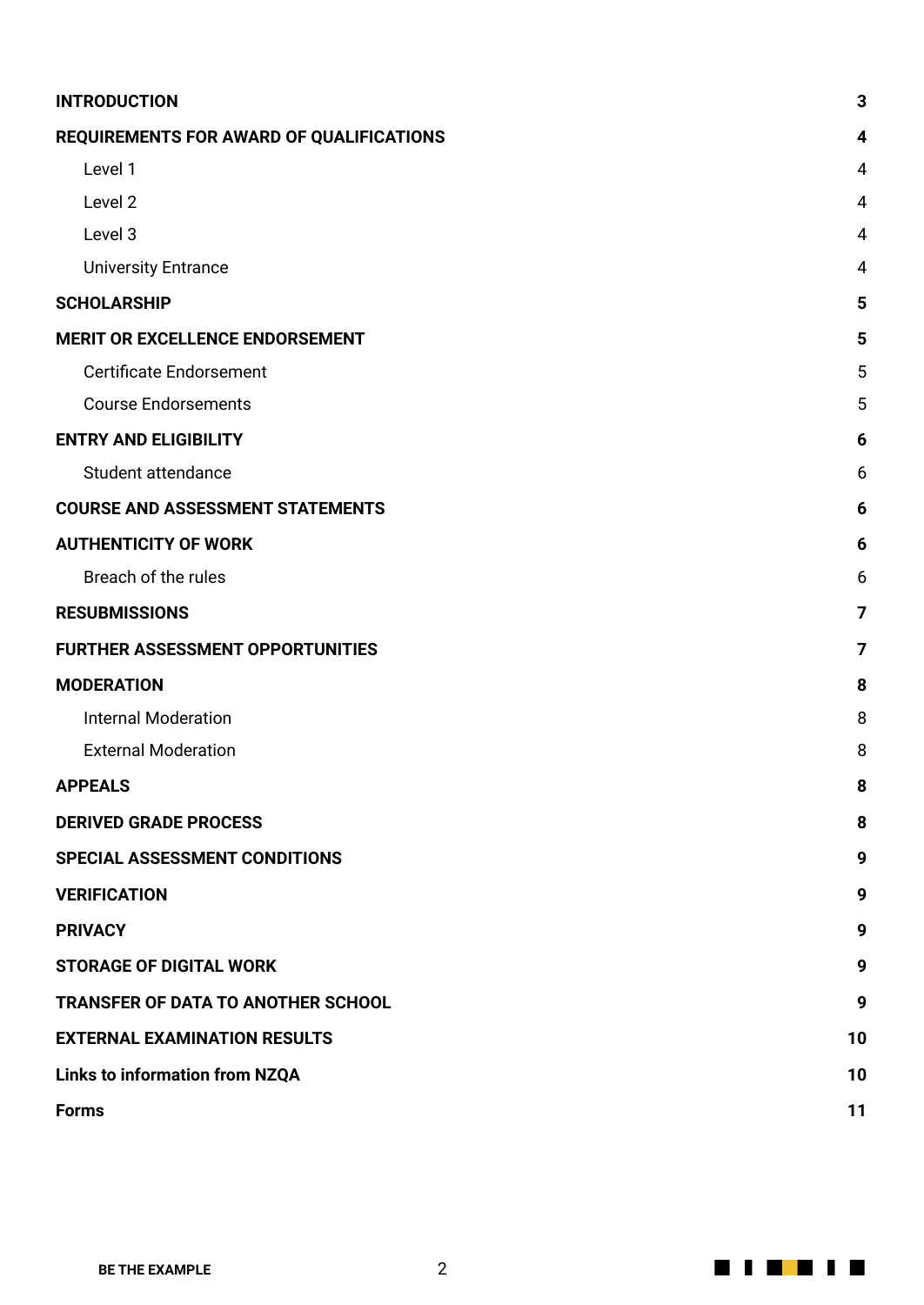| <b>INTRODUCTION</b>                       | 3              |
|-------------------------------------------|----------------|
| REQUIREMENTS FOR AWARD OF QUALIFICATIONS  | 4              |
| Level 1                                   | 4              |
| Level 2                                   | 4              |
| Level 3                                   | $\overline{4}$ |
| <b>University Entrance</b>                | 4              |
| <b>SCHOLARSHIP</b>                        | 5              |
| <b>MERIT OR EXCELLENCE ENDORSEMENT</b>    | 5              |
| <b>Certificate Endorsement</b>            | 5              |
| <b>Course Endorsements</b>                | 5              |
| <b>ENTRY AND ELIGIBILITY</b>              | 6              |
| Student attendance                        | 6              |
| <b>COURSE AND ASSESSMENT STATEMENTS</b>   | 6              |
| <b>AUTHENTICITY OF WORK</b>               | 6              |
| Breach of the rules                       | 6              |
| <b>RESUBMISSIONS</b>                      | 7              |
| <b>FURTHER ASSESSMENT OPPORTUNITIES</b>   | 7              |
| <b>MODERATION</b>                         | 8              |
| <b>Internal Moderation</b>                | 8              |
| <b>External Moderation</b>                | 8              |
| <b>APPEALS</b>                            | 8              |
| <b>DERIVED GRADE PROCESS</b>              | 8              |
| SPECIAL ASSESSMENT CONDITIONS             | 9              |
| <b>VERIFICATION</b>                       | 9              |
| <b>PRIVACY</b>                            | 9              |
| <b>STORAGE OF DIGITAL WORK</b>            | 9              |
| <b>TRANSFER OF DATA TO ANOTHER SCHOOL</b> | 9              |
| <b>EXTERNAL EXAMINATION RESULTS</b>       | 10             |
| <b>Links to information from NZQA</b>     | 10             |
| <b>Forms</b>                              | 11             |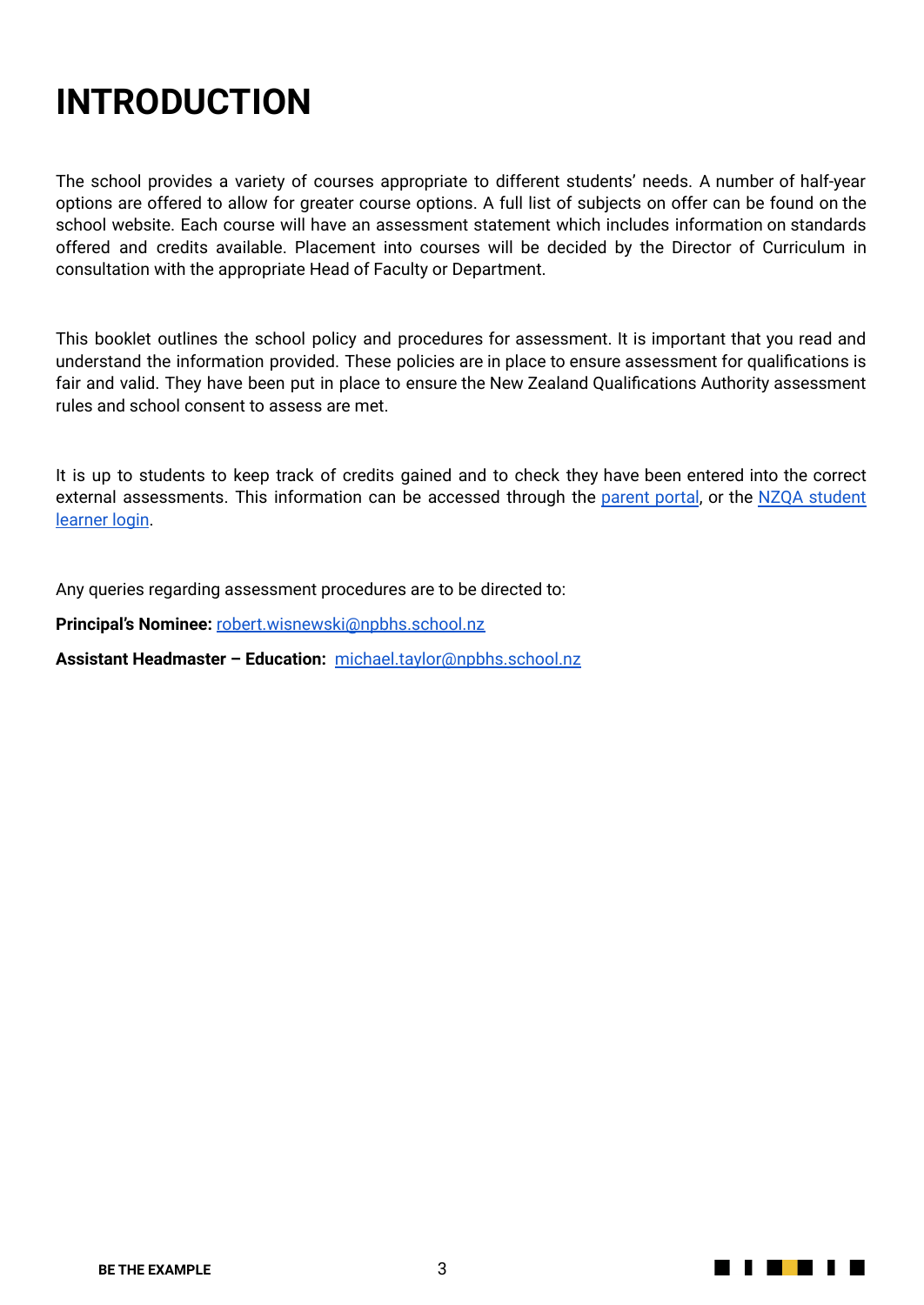# <span id="page-2-0"></span>**INTRODUCTION**

The school provides a variety of courses appropriate to different students' needs. A number of half-year options are offered to allow for greater course options. A full list of subjects on offer can be found on the school website. Each course will have an assessment statement which includes information on standards offered and credits available. Placement into courses will be decided by the Director of Curriculum in consultation with the appropriate Head of Faculty or Department.

This booklet outlines the school policy and procedures for assessment. It is important that you read and understand the information provided. These policies are in place to ensure assessment for qualifications is fair and valid. They have been put in place to ensure the New Zealand Qualifications Authority assessment rules and school consent to assess are met.

It is up to students to keep track of credits gained and to check they have been entered into the correct external assessments. This information can be accessed through the [parent](http://portal.npbhs.school.nz/student/index.php) portal, or the NZQA [student](https://secure.nzqa.govt.nz/for-learners/records/login.do) [learner](https://secure.nzqa.govt.nz/for-learners/records/login.do) login.

Any queries regarding assessment procedures are to be directed to:

**Principal's Nominee:** [robert.wisnewski@npbhs.school.nz](mailto:robert.wisnewski@npbhs.school.nz)

**Assistant Headmaster – Education:** [michael.taylor@npbhs.school.nz](mailto:michael.taylor@npbhs.school.nz)

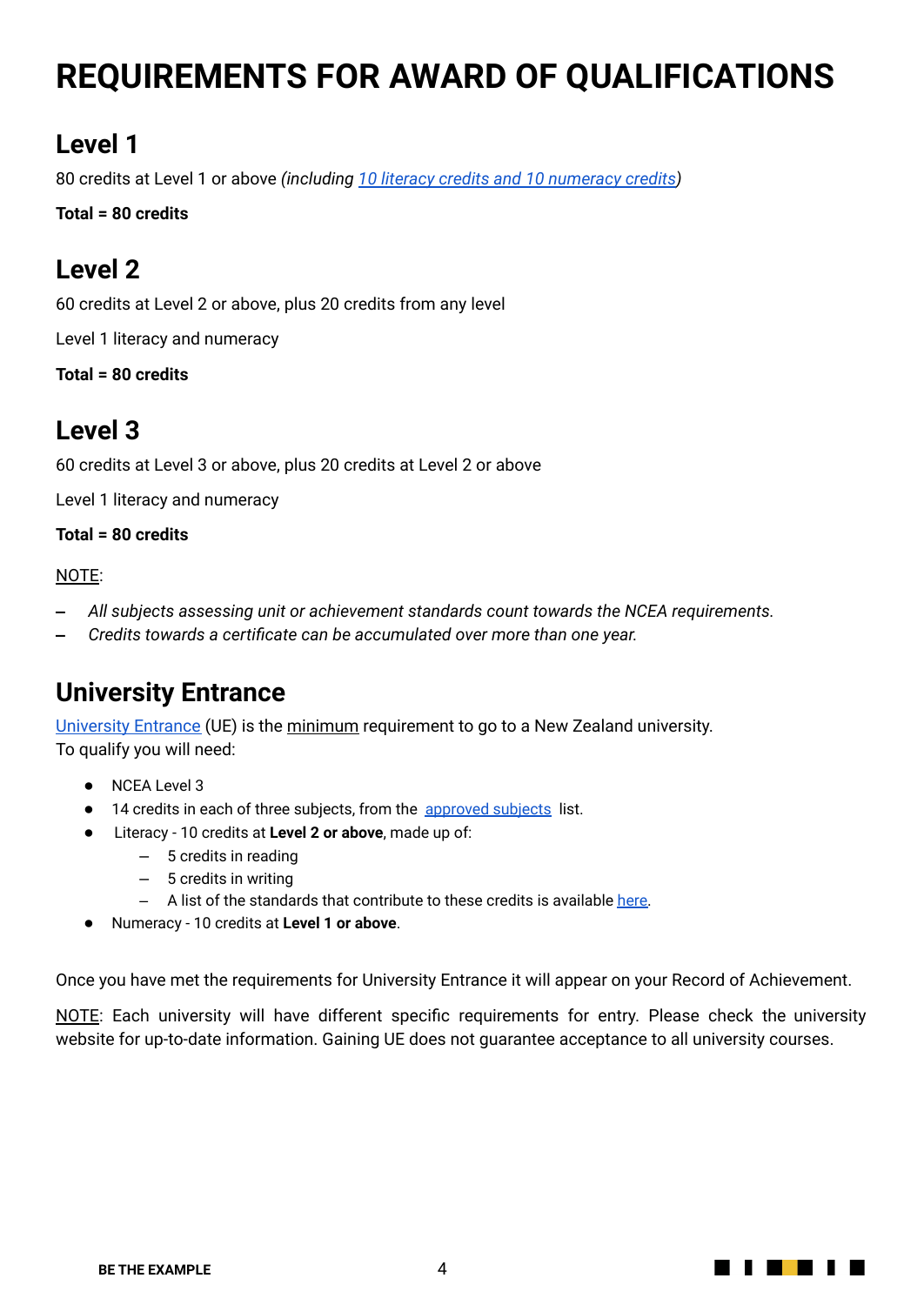# <span id="page-3-0"></span>**REQUIREMENTS FOR AWARD OF QUALIFICATIONS**

#### <span id="page-3-1"></span>**Level 1**

80 credits at Level 1 or above *(including 10 literacy credits and 10 [numeracy](https://www.nzqa.govt.nz/ncea/subjects/literacy-and-numeracy/level-1-requirements/) credits)*

**Total = 80 credits**

#### <span id="page-3-2"></span>**Level 2**

60 credits at Level 2 or above, plus 20 credits from any level

Level 1 literacy and numeracy

**Total = 80 credits**

#### <span id="page-3-3"></span>**Level 3**

60 credits at Level 3 or above, plus 20 credits at Level 2 or above

Level 1 literacy and numeracy

**Total = 80 credits**

#### NOTE:

- **‒** *All subjects assessing unit or achievement standards count towards the NCEA requirements.*
- **‒** *Credits towards a certificate can be accumulated over more than one year.*

#### <span id="page-3-4"></span>**University Entrance**

[University](http://www.nzqa.govt.nz/qualifications-standards/awards/university-entrance/) Entrance (UE) is the minimum requirement to go to a New Zealand university. To qualify you will need:

- NCEA Level 3
- 14 credits in each of three subjects, from the [approved](http://www.nzqa.govt.nz/qualifications-standards/awards/university-entrance/approved-subjects/) subjects list.
- Literacy 10 credits at **Level 2 or above**, made up of:
	- ‒ 5 credits in reading
	- $-5$  credits in writing
	- $-$  A list of the standards that contribute to these credits is available [here.](https://www.nzqa.govt.nz/qualifications-standards/awards/university-entrance/literacy-requirements/)
- Numeracy 10 credits at **Level 1 or above**.

Once you have met the requirements for University Entrance it will appear on your Record of Achievement.

NOTE: Each university will have different specific requirements for entry. Please check the university website for up-to-date information. Gaining UE does not guarantee acceptance to all university courses.

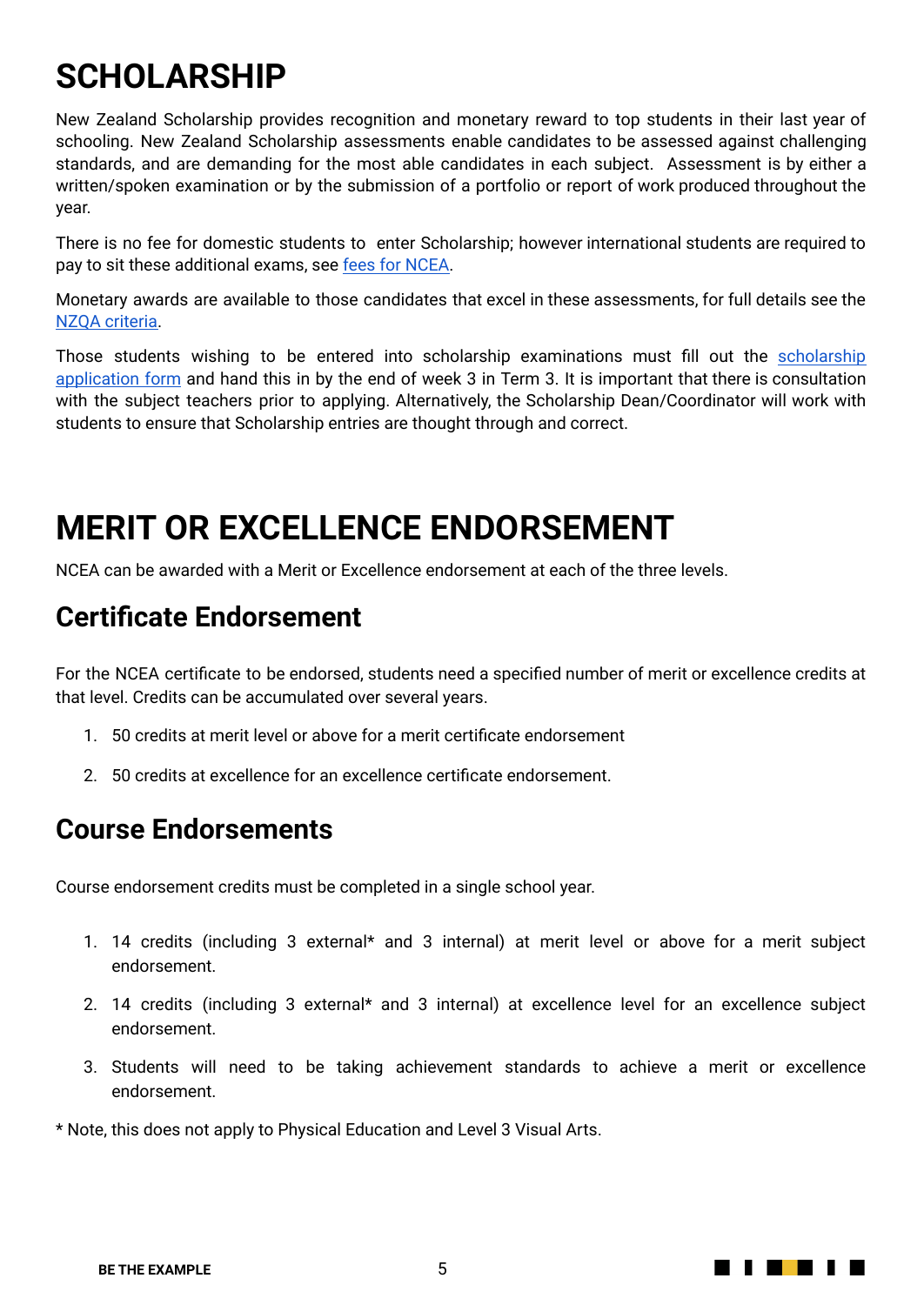### **SCHOLARSHIP**

New Zealand Scholarship provides recognition and monetary reward to top students in their last year of schooling. New Zealand Scholarship assessments enable candidates to be assessed against challenging standards, and are demanding for the most able candidates in each subject. Assessment is by either a written/spoken examination or by the submission of a portfolio or report of work produced throughout the year.

There is no fee for domestic students to enter Scholarship; however international students are required to pay to sit these additional exams, see fees for [NCEA.](http://www.nzqa.govt.nz/about-us/our-role/legislation/fees/secondary-education-fees/)

Monetary awards are available to those candidates that excel in these assessments, for full details see the NZQA [criteria.](https://www.nzqa.govt.nz/about-us/our-role/legislation/nzqa-rules/assessment-including-examination-rules-2020/7-external-assessment/7-2/7-2-1/)

Those students wishing to be entered into [scholarship](https://docs.google.com/document/d/1OnxTn2oDy5e6AQQmQMS76c1Rlq3Us1mYPq39dn6qmVc/edit?usp=sharing) examinations must fill out the scholarship [application](https://docs.google.com/document/d/1OnxTn2oDy5e6AQQmQMS76c1Rlq3Us1mYPq39dn6qmVc/edit?usp=sharing) form and hand this in by the end of week 3 in Term 3. It is important that there is consultation with the subject teachers prior to applying. Alternatively, the Scholarship Dean/Coordinator will work with students to ensure that Scholarship entries are thought through and correct.

#### **MERIT OR EXCELLENCE ENDORSEMENT**

NCEA can be awarded with a Merit or Excellence endorsement at each of the three levels.

#### <span id="page-4-0"></span>**Certificate Endorsement**

For the NCEA certificate to be endorsed, students need a specified number of merit or excellence credits at that level. Credits can be accumulated over several years.

- 1. 50 credits at merit level or above for a merit certificate endorsement
- 2. 50 credits at excellence for an excellence certificate endorsement.

#### <span id="page-4-1"></span>**Course Endorsements**

Course endorsement credits must be completed in a single school year.

- 1. 14 credits (including 3 external\* and 3 internal) at merit level or above for a merit subject endorsement.
- 2. 14 credits (including 3 external\* and 3 internal) at excellence level for an excellence subject endorsement.
- 3. Students will need to be taking achievement standards to achieve a merit or excellence endorsement.

\* Note, this does not apply to Physical Education and Level 3 Visual Arts.

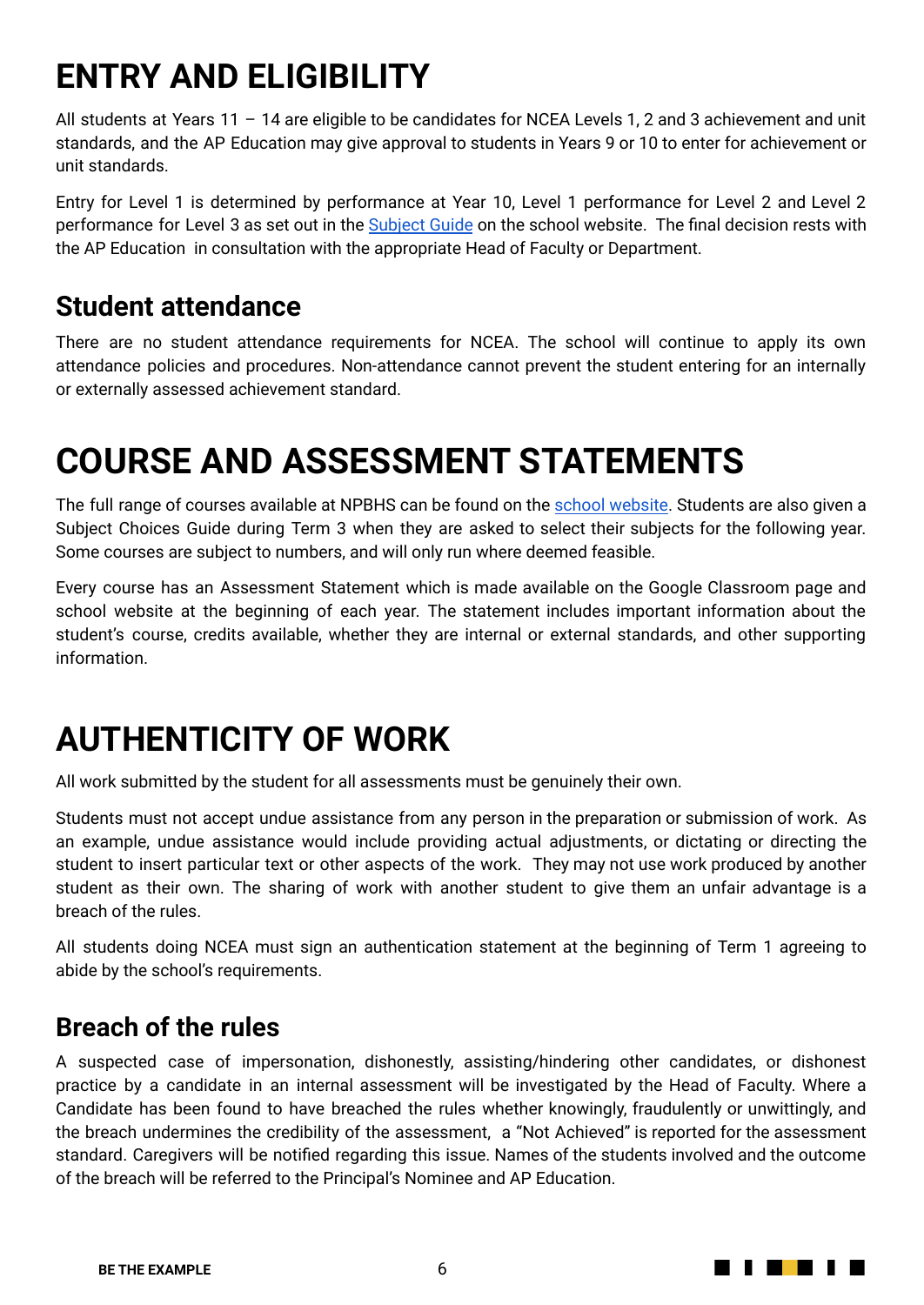# **ENTRY AND ELIGIBILITY**

All students at Years 11 - 14 are eligible to be candidates for NCEA Levels 1, 2 and 3 achievement and unit standards, and the AP Education may give approval to students in Years 9 or 10 to enter for achievement or unit standards.

Entry for Level 1 is determined by performance at Year 10, Level 1 performance for Level 2 and Level 2 performance for Level 3 as set out in the [Subject](http://www.npbhs.school.nz/students/studies-guide/) Guide on the school website. The final decision rests with the AP Education in consultation with the appropriate Head of Faculty or Department.

#### <span id="page-5-0"></span>**Student attendance**

There are no student attendance requirements for NCEA. The school will continue to apply its own attendance policies and procedures. Non-attendance cannot prevent the student entering for an internally or externally assessed achievement standard.

# <span id="page-5-1"></span>**COURSE AND ASSESSMENT STATEMENTS**

The full range of courses available at NPBHS can be found on the school [website](http://www.npbhs.school.nz/students/studies-guide/). Students are also given a Subject Choices Guide during Term 3 when they are asked to select their subjects for the following year. Some courses are subject to numbers, and will only run where deemed feasible.

Every course has an Assessment Statement which is made available on the Google Classroom page and school website at the beginning of each year. The statement includes important information about the student's course, credits available, whether they are internal or external standards, and other supporting information.

### <span id="page-5-2"></span>**AUTHENTICITY OF WORK**

All work submitted by the student for all assessments must be genuinely their own.

Students must not accept undue assistance from any person in the preparation or submission of work. As an example, undue assistance would include providing actual adjustments, or dictating or directing the student to insert particular text or other aspects of the work. They may not use work produced by another student as their own. The sharing of work with another student to give them an unfair advantage is a breach of the rules.

All students doing NCEA must sign an authentication statement at the beginning of Term 1 agreeing to abide by the school's requirements.

#### <span id="page-5-3"></span>**Breach of the rules**

A suspected case of impersonation, dishonestly, assisting/hindering other candidates, or dishonest practice by a candidate in an internal assessment will be investigated by the Head of Faculty. Where a Candidate has been found to have breached the rules whether knowingly, fraudulently or unwittingly, and the breach undermines the credibility of the assessment, a "Not Achieved" is reported for the assessment standard. Caregivers will be notified regarding this issue. Names of the students involved and the outcome of the breach will be referred to the Principal's Nominee and AP Education.

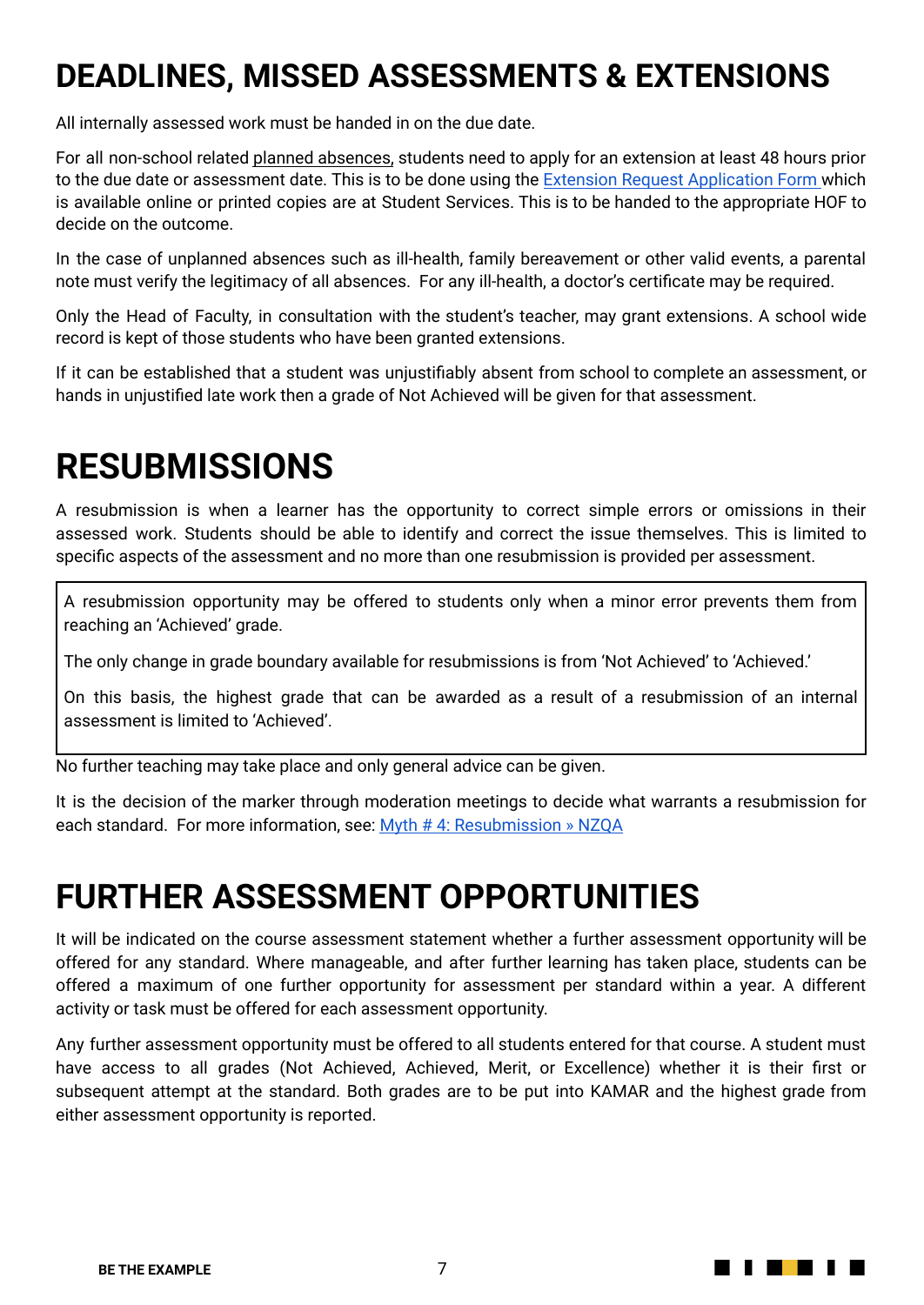### **DEADLINES, MISSED ASSESSMENTS & EXTENSIONS**

All internally assessed work must be handed in on the due date.

For all non-school related planned absences, students need to apply for an extension at least 48 hours prior to the due date or assessment date. This is to be done using the Extension Request [Application](https://docs.google.com/document/d/18w7ysuHjCqMdp5w5gTPFnTKE3jaQdwxr14gOZWgccSM/edit) Form which is available online or printed copies are at Student Services. This is to be handed to the appropriate HOF to decide on the outcome.

In the case of unplanned absences such as ill-health, family bereavement or other valid events, a parental note must verify the legitimacy of all absences. For any ill-health, a doctor's certificate may be required.

Only the Head of Faculty, in consultation with the student's teacher, may grant extensions. A school wide record is kept of those students who have been granted extensions.

If it can be established that a student was unjustifiably absent from school to complete an assessment, or hands in unjustified late work then a grade of Not Achieved will be given for that assessment.

### <span id="page-6-0"></span>**RESUBMISSIONS**

A resubmission is when a learner has the opportunity to correct simple errors or omissions in their assessed work. Students should be able to identify and correct the issue themselves. This is limited to specific aspects of the assessment and no more than one resubmission is provided per assessment.

A resubmission opportunity may be offered to students only when a minor error prevents them from reaching an 'Achieved' grade.

The only change in grade boundary available for resubmissions is from 'Not Achieved' to 'Achieved.'

On this basis, the highest grade that can be awarded as a result of a resubmission of an internal assessment is limited to 'Achieved'.

No further teaching may take place and only general advice can be given.

It is the decision of the marker through moderation meetings to decide what warrants a resubmission for each standard. For more information, see: Myth # 4: [Resubmission](https://www.nzqa.govt.nz/providers-partners/assessment-and-moderation-of-standards/managing-national-assessment-in-schools/ncea-the-myths/myth-4/) » NZQA

#### <span id="page-6-1"></span>**FURTHER ASSESSMENT OPPORTUNITIES**

It will be indicated on the course assessment statement whether a further assessment opportunity will be offered for any standard. Where manageable, and after further learning has taken place, students can be offered a maximum of one further opportunity for assessment per standard within a year. A different activity or task must be offered for each assessment opportunity.

Any further assessment opportunity must be offered to all students entered for that course. A student must have access to all grades (Not Achieved, Achieved, Merit, or Excellence) whether it is their first or subsequent attempt at the standard. Both grades are to be put into KAMAR and the highest grade from either assessment opportunity is reported.

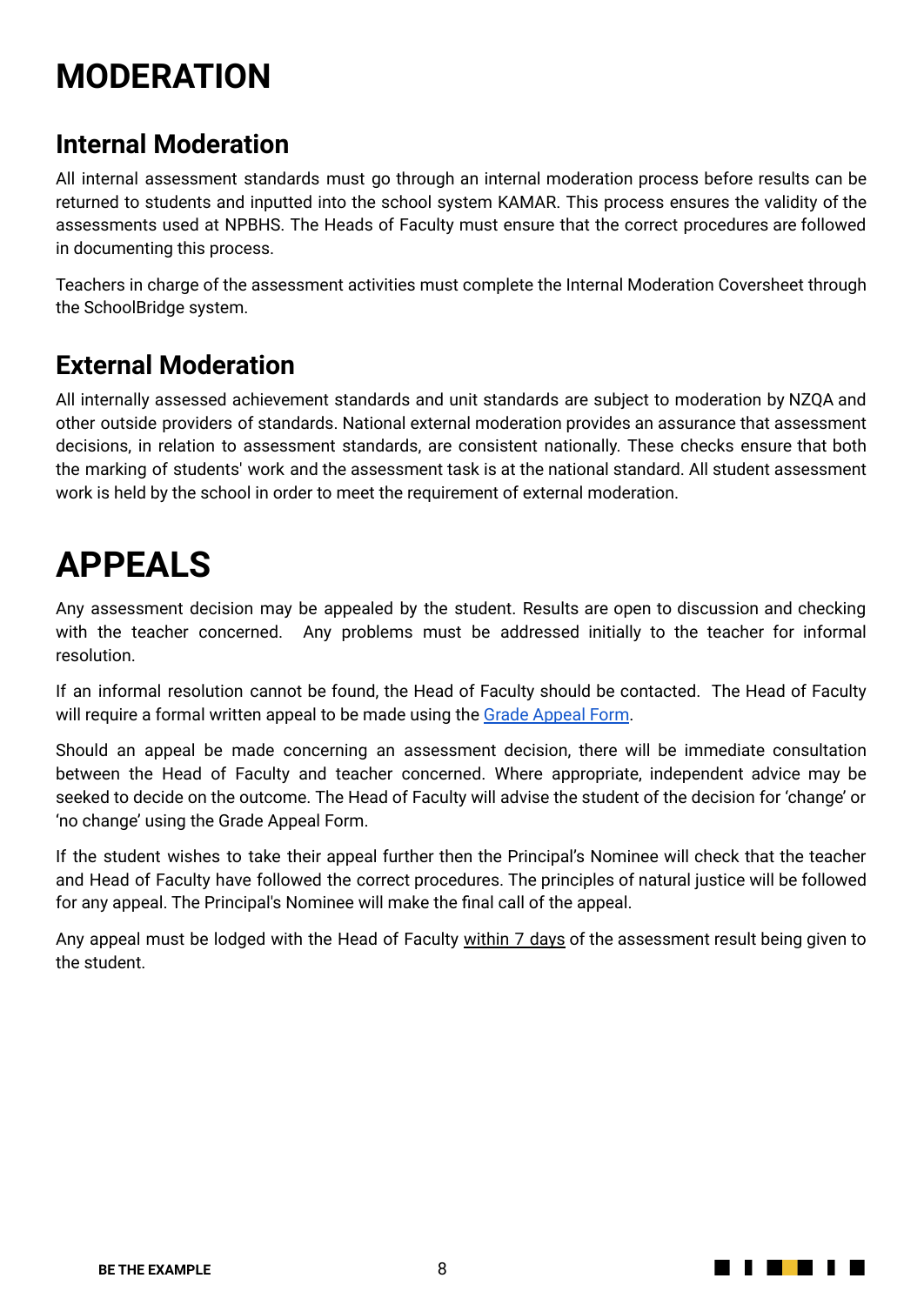# **MODERATION**

#### <span id="page-7-0"></span>**Internal Moderation**

All internal assessment standards must go through an internal moderation process before results can be returned to students and inputted into the school system KAMAR. This process ensures the validity of the assessments used at NPBHS. The Heads of Faculty must ensure that the correct procedures are followed in documenting this process.

Teachers in charge of the assessment activities must complete the Internal Moderation Coversheet through the SchoolBridge system.

#### <span id="page-7-1"></span>**External Moderation**

All internally assessed achievement standards and unit standards are subject to moderation by NZQA and other outside providers of standards. National external moderation provides an assurance that assessment decisions, in relation to assessment standards, are consistent nationally. These checks ensure that both the marking of students' work and the assessment task is at the national standard. All student assessment work is held by the school in order to meet the requirement of external moderation.

### <span id="page-7-2"></span>**APPEALS**

Any assessment decision may be appealed by the student. Results are open to discussion and checking with the teacher concerned. Any problems must be addressed initially to the teacher for informal resolution.

If an informal resolution cannot be found, the Head of Faculty should be contacted. The Head of Faculty will require a formal written appeal to be made using the Grade [Appeal](https://docs.google.com/document/d/1RwZpznbULgH1LDcCErgSgIwoK2cgpGv6bmYnGy41uaE/edit?usp=sharing) Form.

Should an appeal be made concerning an assessment decision, there will be immediate consultation between the Head of Faculty and teacher concerned. Where appropriate, independent advice may be seeked to decide on the outcome. The Head of Faculty will advise the student of the decision for 'change' or 'no change' using the Grade Appeal Form.

If the student wishes to take their appeal further then the Principal's Nominee will check that the teacher and Head of Faculty have followed the correct procedures. The principles of natural justice will be followed for any appeal. The Principal's Nominee will make the final call of the appeal.

<span id="page-7-3"></span>Any appeal must be lodged with the Head of Faculty within 7 days of the assessment result being given to the student.

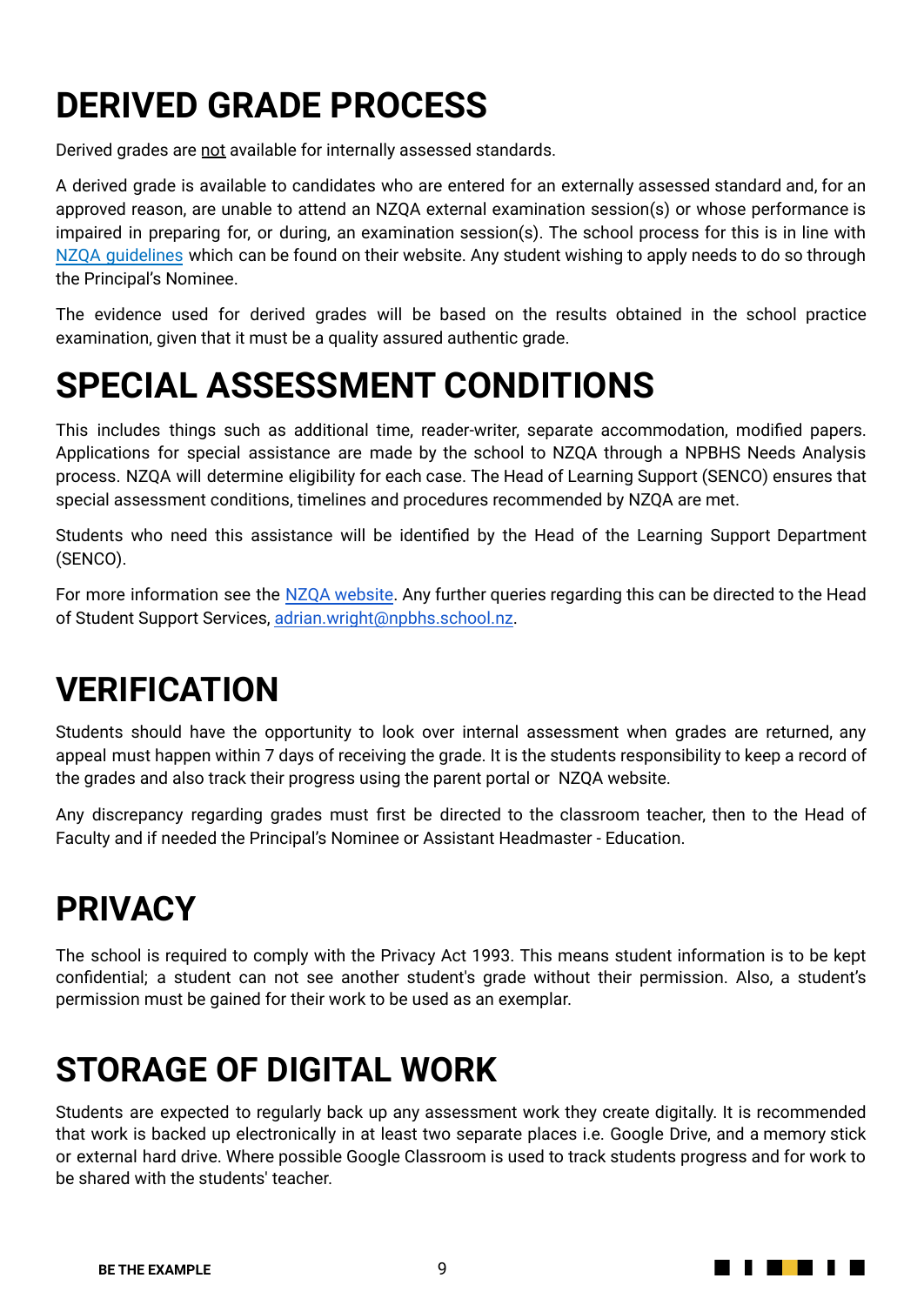# **DERIVED GRADE PROCESS**

Derived grades are not available for internally assessed standards.

A derived grade is available to candidates who are entered for an externally assessed standard and, for an approved reason, are unable to attend an NZQA external examination session(s) or whose performance is impaired in preparing for, or during, an examination session(s). The school process for this is in line with NZQA [guidelines](https://www.nzqa.govt.nz/providers-partners/assessment-and-moderation-of-standards/managing-national-assessment-in-schools/derived-grades/) which can be found on their website. Any student wishing to apply needs to do so through the Principal's Nominee.

The evidence used for derived grades will be based on the results obtained in the school practice examination, given that it must be a quality assured authentic grade.

### <span id="page-8-0"></span>**SPECIAL ASSESSMENT CONDITIONS**

This includes things such as additional time, reader-writer, separate accommodation, modified papers. Applications for special assistance are made by the school to NZQA through a NPBHS Needs Analysis process. NZQA will determine eligibility for each case. The Head of Learning Support (SENCO) ensures that special assessment conditions, timelines and procedures recommended by NZQA are met.

Students who need this assistance will be identified by the Head of the Learning Support Department (SENCO).

For more information see the NZQA [website.](https://www.nzqa.govt.nz/providers-partners/assessment-and-moderation-of-standards/managing-national-assessment-in-schools/special-assessment-conditions/) Any further queries regarding this can be directed to the Head of Student Support Services, [adrian.wright@npbhs.school.nz](mailto:adrian.wright@npbhs.school.nz).

### <span id="page-8-1"></span>**VERIFICATION**

Students should have the opportunity to look over internal assessment when grades are returned, any appeal must happen within 7 days of receiving the grade. It is the students responsibility to keep a record of the grades and also track their progress using the parent portal or NZQA website.

Any discrepancy regarding grades must first be directed to the classroom teacher, then to the Head of Faculty and if needed the Principal's Nominee or Assistant Headmaster - Education.

### <span id="page-8-2"></span>**PRIVACY**

The school is required to comply with the Privacy Act 1993. This means student information is to be kept confidential; a student can not see another student's grade without their permission. Also, a student's permission must be gained for their work to be used as an exemplar.

### <span id="page-8-3"></span>**STORAGE OF DIGITAL WORK**

Students are expected to regularly back up any assessment work they create digitally. It is recommended that work is backed up electronically in at least two separate places i.e. Google Drive, and a memory stick or external hard drive. Where possible Google Classroom is used to track students progress and for work to be shared with the students' teacher.

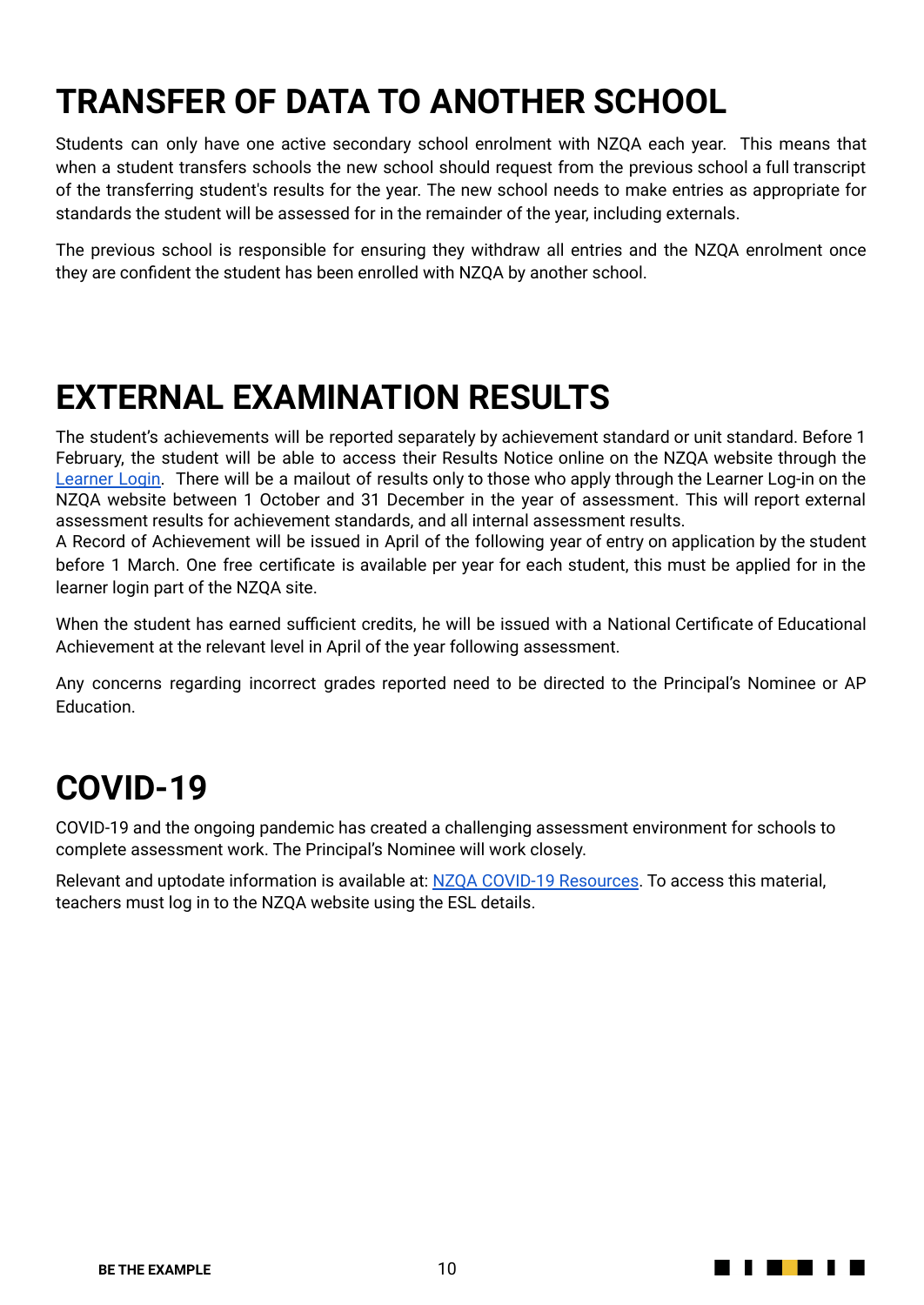# <span id="page-9-0"></span>**TRANSFER OF DATA TO ANOTHER SCHOOL**

Students can only have one active secondary school enrolment with NZQA each year. This means that when a student transfers schools the new school should request from the previous school a full transcript of the transferring student's results for the year. The new school needs to make entries as appropriate for standards the student will be assessed for in the remainder of the year, including externals.

The previous school is responsible for ensuring they withdraw all entries and the NZQA enrolment once they are confident the student has been enrolled with NZQA by another school.

### **EXTERNAL EXAMINATION RESULTS**

The student's achievements will be reported separately by achievement standard or unit standard. Before 1 February, the student will be able to access their Results Notice online on the NZQA website through the [Learner](https://secure.nzqa.govt.nz/for-learners/records/login.do) Login. There will be a mailout of results only to those who apply through the Learner Log-in on the NZQA website between 1 October and 31 December in the year of assessment. This will report external assessment results for achievement standards, and all internal assessment results.

A Record of Achievement will be issued in April of the following year of entry on application by the student before 1 March. One free certificate is available per year for each student, this must be applied for in the learner login part of the NZQA site.

When the student has earned sufficient credits, he will be issued with a National Certificate of Educational Achievement at the relevant level in April of the year following assessment.

Any concerns regarding incorrect grades reported need to be directed to the Principal's Nominee or AP **Education** 

### **COVID-19**

COVID-19 and the ongoing pandemic has created a challenging assessment environment for schools to complete assessment work. The Principal's Nominee will work closely.

<span id="page-9-1"></span>Relevant and uptodate information is available at: NZQA COVID-19 [Resources](https://www.nzqa.govt.nz/about-us/publications/newsletters-and-circulars/covid-19-updates/teacher-resources-for-assessing-during-covid-19/). To access this material, teachers must log in to the NZQA website using the ESL details.